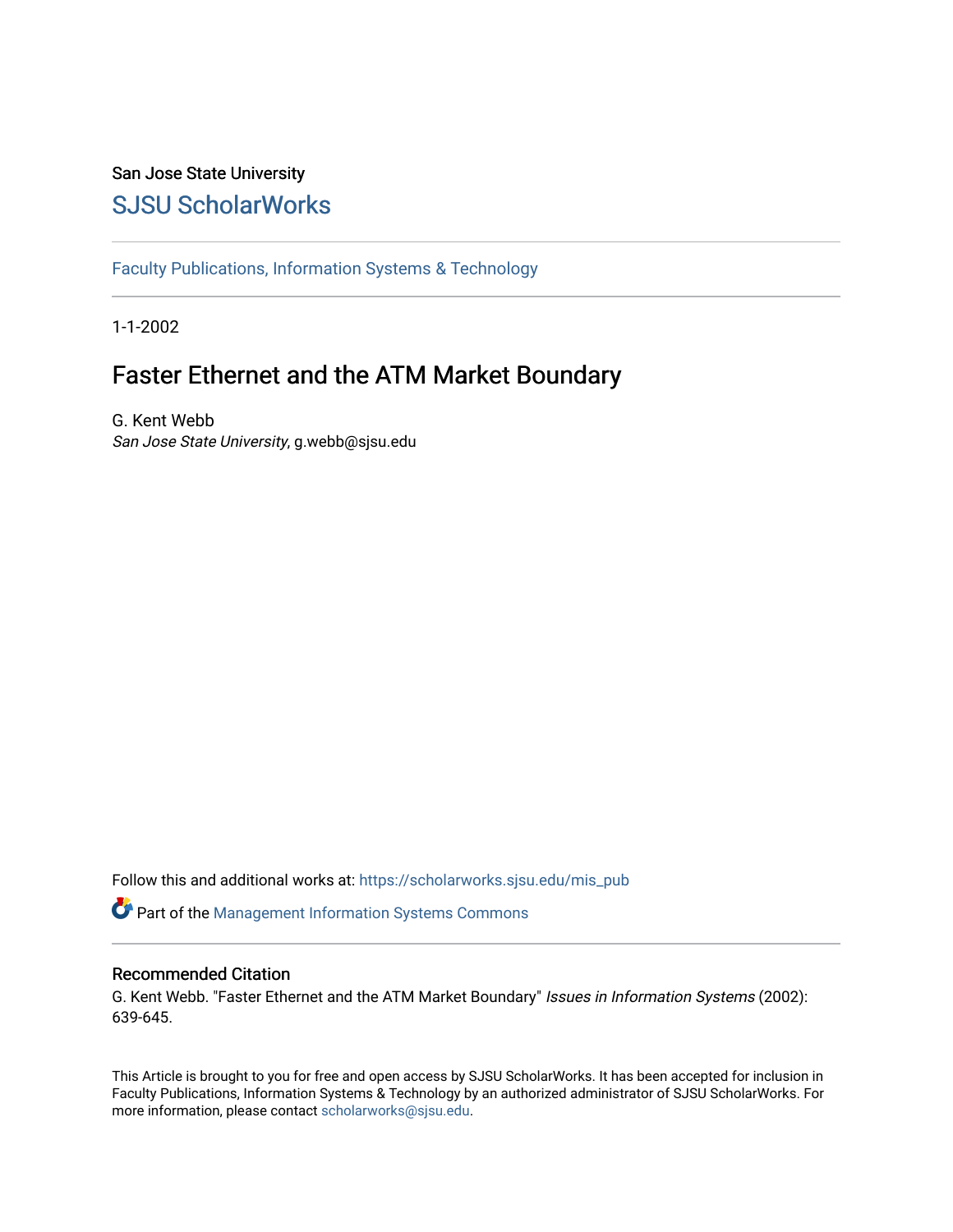# San Jose State University [SJSU ScholarWorks](https://scholarworks.sjsu.edu/)

[Faculty Publications, Information Systems & Technology](https://scholarworks.sjsu.edu/mis_pub) 

1-1-2002

# Faster Ethernet and the ATM Market Boundary

G. Kent Webb San Jose State University, g.webb@sjsu.edu

Follow this and additional works at: [https://scholarworks.sjsu.edu/mis\\_pub](https://scholarworks.sjsu.edu/mis_pub?utm_source=scholarworks.sjsu.edu%2Fmis_pub%2F13&utm_medium=PDF&utm_campaign=PDFCoverPages) 

Part of the [Management Information Systems Commons](http://network.bepress.com/hgg/discipline/636?utm_source=scholarworks.sjsu.edu%2Fmis_pub%2F13&utm_medium=PDF&utm_campaign=PDFCoverPages) 

#### Recommended Citation

G. Kent Webb. "Faster Ethernet and the ATM Market Boundary" Issues in Information Systems (2002): 639-645.

This Article is brought to you for free and open access by SJSU ScholarWorks. It has been accepted for inclusion in Faculty Publications, Information Systems & Technology by an authorized administrator of SJSU ScholarWorks. For more information, please contact [scholarworks@sjsu.edu.](mailto:scholarworks@sjsu.edu)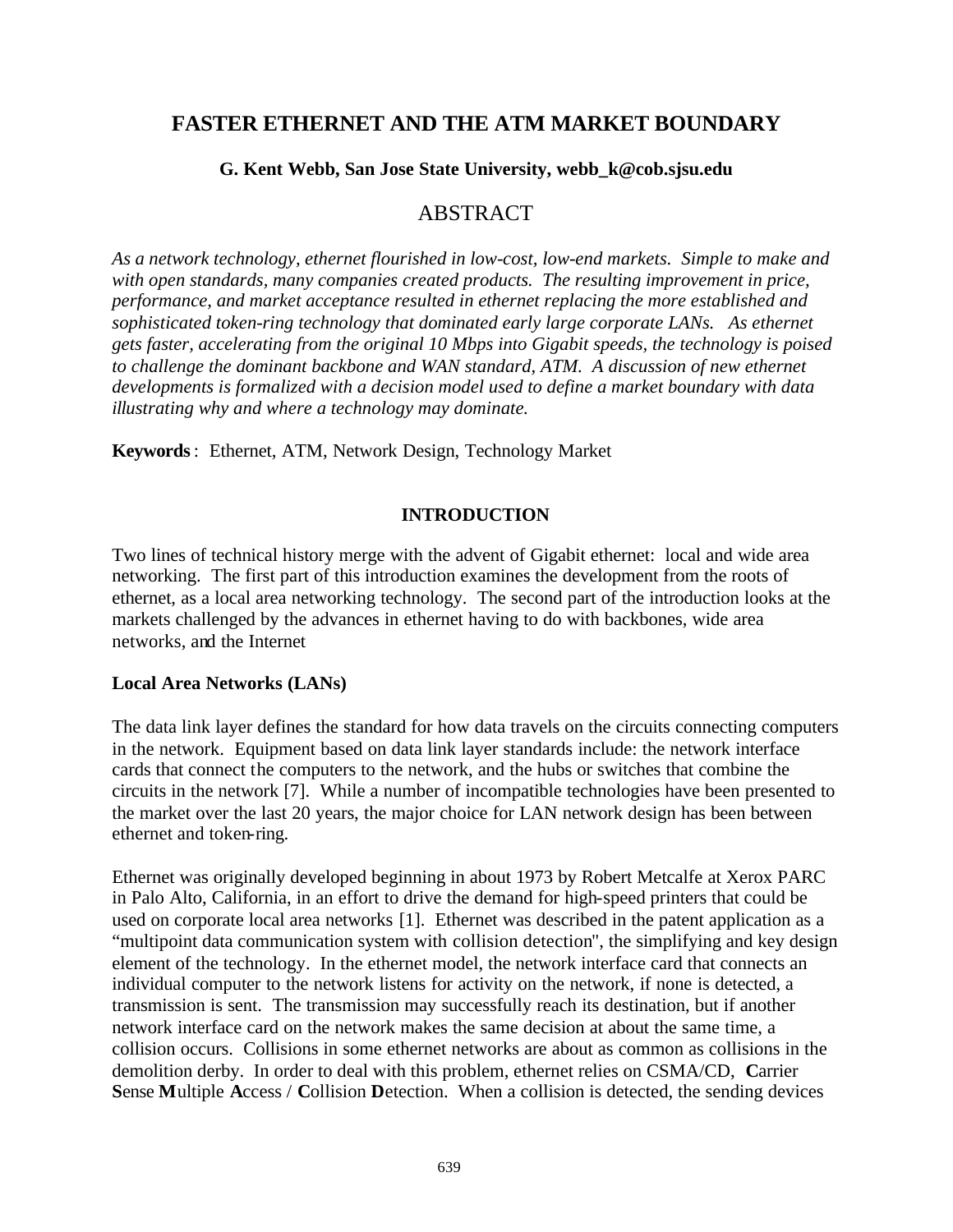# **FASTER ETHERNET AND THE ATM MARKET BOUNDARY**

#### **G. Kent Webb, San Jose State University, webb\_k@cob.sjsu.edu**

## ABSTRACT

*As a network technology, ethernet flourished in low-cost, low-end markets. Simple to make and with open standards, many companies created products. The resulting improvement in price, performance, and market acceptance resulted in ethernet replacing the more established and sophisticated token-ring technology that dominated early large corporate LANs. As ethernet gets faster, accelerating from the original 10 Mbps into Gigabit speeds, the technology is poised to challenge the dominant backbone and WAN standard, ATM. A discussion of new ethernet developments is formalized with a decision model used to define a market boundary with data illustrating why and where a technology may dominate.* 

**Keywords** : Ethernet, ATM, Network Design, Technology Market

#### **INTRODUCTION**

Two lines of technical history merge with the advent of Gigabit ethernet: local and wide area networking. The first part of this introduction examines the development from the roots of ethernet, as a local area networking technology. The second part of the introduction looks at the markets challenged by the advances in ethernet having to do with backbones, wide area networks, and the Internet

#### **Local Area Networks (LANs)**

The data link layer defines the standard for how data travels on the circuits connecting computers in the network. Equipment based on data link layer standards include: the network interface cards that connect the computers to the network, and the hubs or switches that combine the circuits in the network [7]. While a number of incompatible technologies have been presented to the market over the last 20 years, the major choice for LAN network design has been between ethernet and token-ring.

Ethernet was originally developed beginning in about 1973 by Robert Metcalfe at Xerox PARC in Palo Alto, California, in an effort to drive the demand for high-speed printers that could be used on corporate local area networks [1]. Ethernet was described in the patent application as a "multipoint data communication system with collision detection", the simplifying and key design element of the technology. In the ethernet model, the network interface card that connects an individual computer to the network listens for activity on the network, if none is detected, a transmission is sent. The transmission may successfully reach its destination, but if another network interface card on the network makes the same decision at about the same time, a collision occurs. Collisions in some ethernet networks are about as common as collisions in the demolition derby. In order to deal with this problem, ethernet relies on CSMA/CD, **C**arrier **S**ense **M**ultiple **A**ccess / **C**ollision **D**etection. When a collision is detected, the sending devices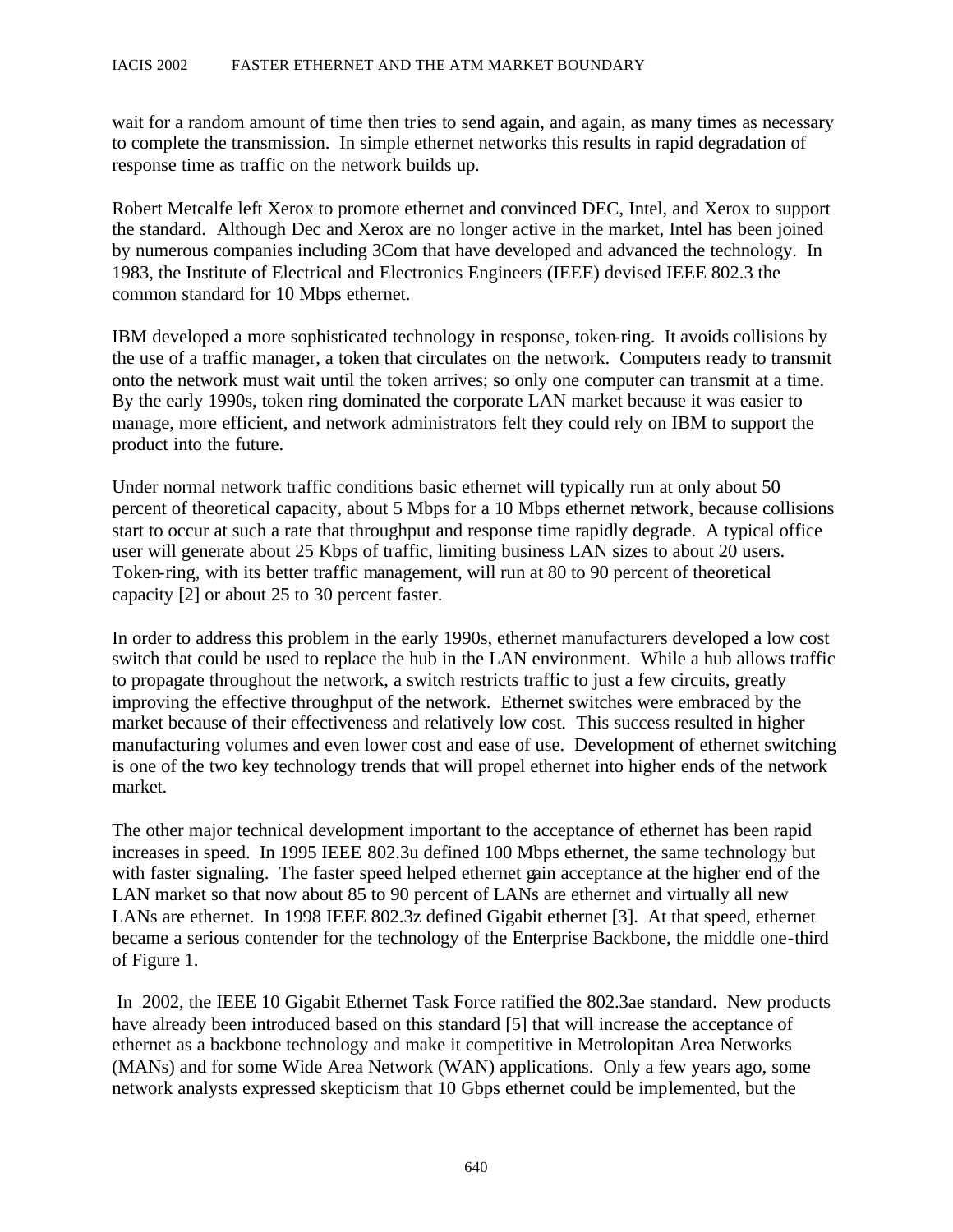wait for a random amount of time then tries to send again, and again, as many times as necessary to complete the transmission. In simple ethernet networks this results in rapid degradation of response time as traffic on the network builds up.

Robert Metcalfe left Xerox to promote ethernet and convinced DEC, Intel, and Xerox to support the standard. Although Dec and Xerox are no longer active in the market, Intel has been joined by numerous companies including 3Com that have developed and advanced the technology. In 1983, the Institute of Electrical and Electronics Engineers (IEEE) devised IEEE 802.3 the common standard for 10 Mbps ethernet.

IBM developed a more sophisticated technology in response, token-ring. It avoids collisions by the use of a traffic manager, a token that circulates on the network. Computers ready to transmit onto the network must wait until the token arrives; so only one computer can transmit at a time. By the early 1990s, token ring dominated the corporate LAN market because it was easier to manage, more efficient, and network administrators felt they could rely on IBM to support the product into the future.

Under normal network traffic conditions basic ethernet will typically run at only about 50 percent of theoretical capacity, about 5 Mbps for a 10 Mbps ethernet network, because collisions start to occur at such a rate that throughput and response time rapidly degrade. A typical office user will generate about 25 Kbps of traffic, limiting business LAN sizes to about 20 users. Token-ring, with its better traffic management, will run at 80 to 90 percent of theoretical capacity [2] or about 25 to 30 percent faster.

In order to address this problem in the early 1990s, ethernet manufacturers developed a low cost switch that could be used to replace the hub in the LAN environment. While a hub allows traffic to propagate throughout the network, a switch restricts traffic to just a few circuits, greatly improving the effective throughput of the network. Ethernet switches were embraced by the market because of their effectiveness and relatively low cost. This success resulted in higher manufacturing volumes and even lower cost and ease of use. Development of ethernet switching is one of the two key technology trends that will propel ethernet into higher ends of the network market.

The other major technical development important to the acceptance of ethernet has been rapid increases in speed. In 1995 IEEE 802.3u defined 100 Mbps ethernet, the same technology but with faster signaling. The faster speed helped ethernet gain acceptance at the higher end of the LAN market so that now about 85 to 90 percent of LANs are ethernet and virtually all new LANs are ethernet. In 1998 IEEE 802.3z defined Gigabit ethernet [3]. At that speed, ethernet became a serious contender for the technology of the Enterprise Backbone, the middle one -third of Figure 1.

 In 2002, the IEEE 10 Gigabit Ethernet Task Force ratified the 802.3ae standard. New products have already been introduced based on this standard [5] that will increase the acceptance of ethernet as a backbone technology and make it competitive in Metrolopitan Area Networks (MANs) and for some Wide Area Network (WAN) applications. Only a few years ago, some network analysts expressed skepticism that 10 Gbps ethernet could be implemented, but the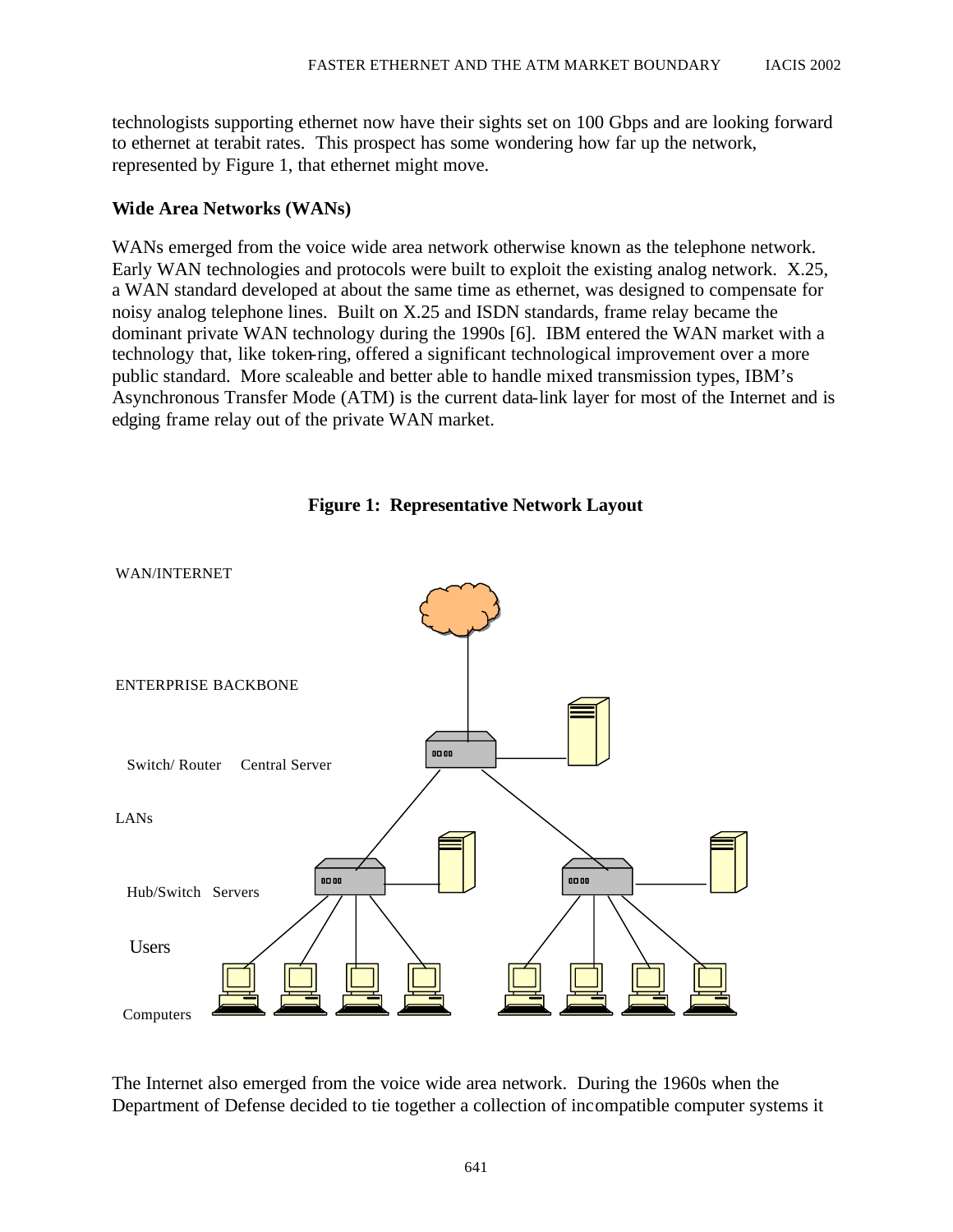technologists supporting ethernet now have their sights set on 100 Gbps and are looking forward to ethernet at terabit rates. This prospect has some wondering how far up the network, represented by Figure 1, that ethernet might move.

#### **Wide Area Networks (WANs)**

WANs emerged from the voice wide area network otherwise known as the telephone network. Early WAN technologies and protocols were built to exploit the existing analog network. X.25, a WAN standard developed at about the same time as ethernet, was designed to compensate for noisy analog telephone lines. Built on X.25 and ISDN standards, frame relay became the dominant private WAN technology during the 1990s [6]. IBM entered the WAN market with a technology that, like token-ring, offered a significant technological improvement over a more public standard. More scaleable and better able to handle mixed transmission types, IBM's Asynchronous Transfer Mode (ATM) is the current data-link layer for most of the Internet and is edging frame relay out of the private WAN market.



**Figure 1: Representative Network Layout** 

The Internet also emerged from the voice wide area network. During the 1960s when the Department of Defense decided to tie together a collection of inc ompatible computer systems it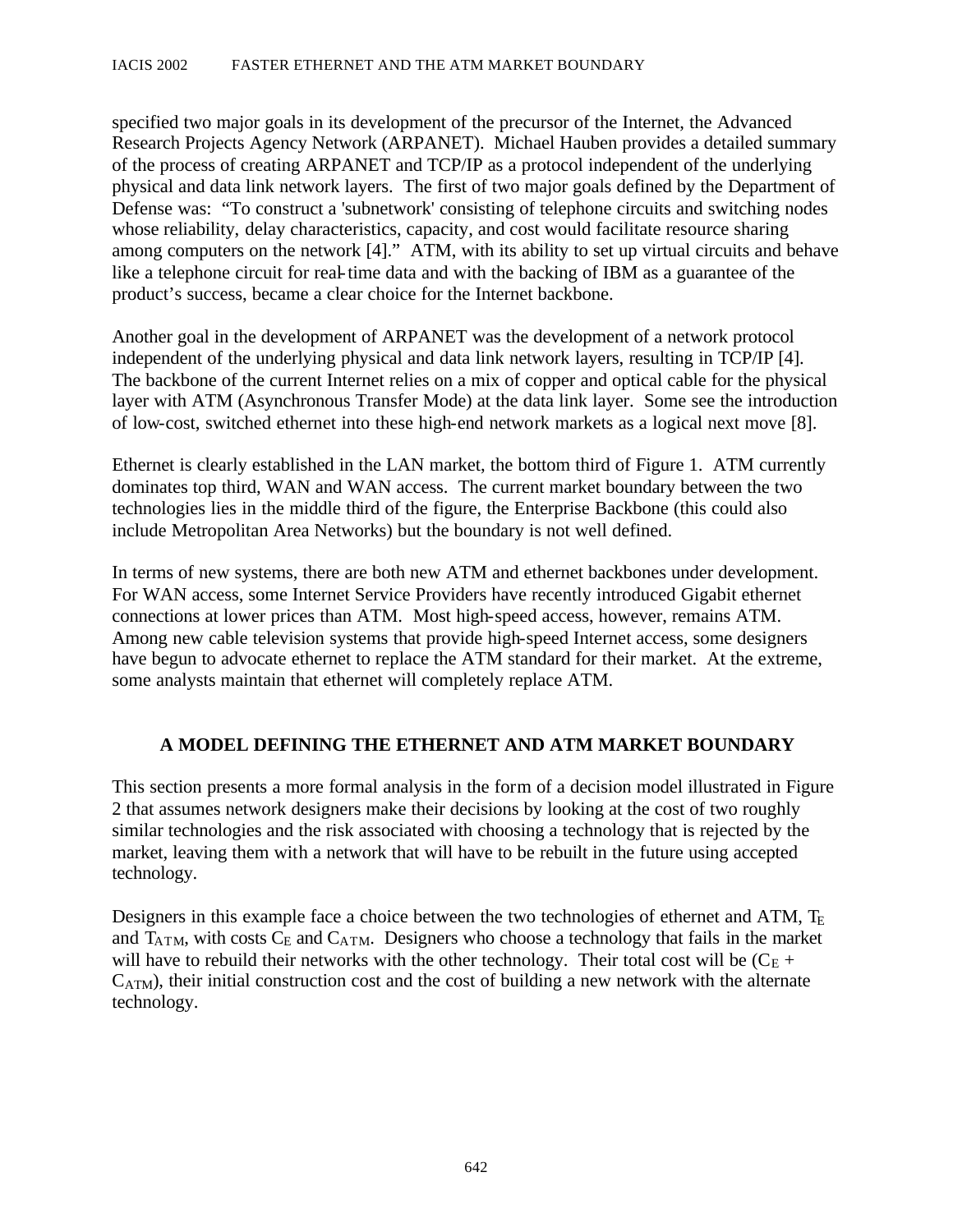specified two major goals in its development of the precursor of the Internet, the Advanced Research Projects Agency Network (ARPANET). Michael Hauben provides a detailed summary of the process of creating ARPANET and TCP/IP as a protocol independent of the underlying physical and data link network layers. The first of two major goals defined by the Department of Defense was: "To construct a 'subnetwork' consisting of telephone circuits and switching nodes whose reliability, delay characteristics, capacity, and cost would facilitate resource sharing among computers on the network [4]." ATM, with its ability to set up virtual circuits and behave like a telephone circuit for real-time data and with the backing of IBM as a guarantee of the product's success, became a clear choice for the Internet backbone.

Another goal in the development of ARPANET was the development of a network protocol independent of the underlying physical and data link network layers, resulting in TCP/IP [4]. The backbone of the current Internet relies on a mix of copper and optical cable for the physical layer with ATM (Asynchronous Transfer Mode) at the data link layer. Some see the introduction of low-cost, switched ethernet into these high-end network markets as a logical next move [8].

Ethernet is clearly established in the LAN market, the bottom third of Figure 1. ATM currently dominates top third, WAN and WAN access. The current market boundary between the two technologies lies in the middle third of the figure, the Enterprise Backbone (this could also include Metropolitan Area Networks) but the boundary is not well defined.

In terms of new systems, there are both new ATM and ethernet backbones under development. For WAN access, some Internet Service Providers have recently introduced Gigabit ethernet connections at lower prices than ATM. Most high-speed access, however, remains ATM. Among new cable television systems that provide high-speed Internet access, some designers have begun to advocate ethernet to replace the ATM standard for their market. At the extreme, some analysts maintain that ethernet will completely replace ATM.

### **A MODEL DEFINING THE ETHERNET AND ATM MARKET BOUNDARY**

This section presents a more formal analysis in the form of a decision model illustrated in Figure 2 that assumes network designers make their decisions by looking at the cost of two roughly similar technologies and the risk associated with choosing a technology that is rejected by the market, leaving them with a network that will have to be rebuilt in the future using accepted technology.

Designers in this example face a choice between the two technologies of ethernet and ATM,  $T_E$ and  $T_{ATM}$ , with costs  $C_E$  and  $C_{ATM}$ . Designers who choose a technology that fails in the market will have to rebuild their networks with the other technology. Their total cost will be  $(C_{E} +$  $C_{ATM}$ ), their initial construction cost and the cost of building a new network with the alternate technology.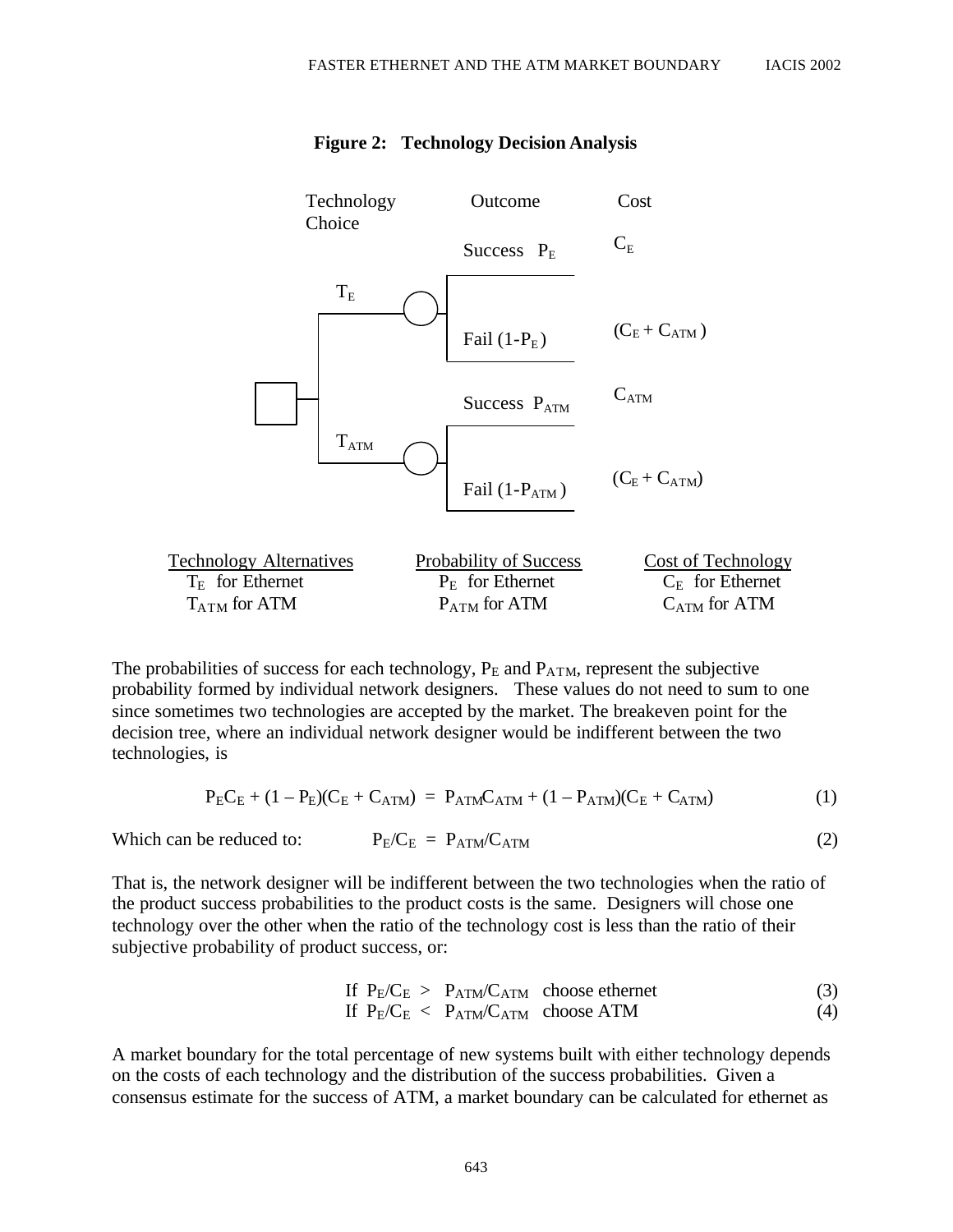

#### **Figure 2: Technology Decision Analysis**

The probabilities of success for each technology,  $P_E$  and  $P_{ATM}$ , represent the subjective probability formed by individual network designers. These values do not need to sum to one since sometimes two technologies are accepted by the market. The breakeven point for the decision tree, where an individual network designer would be indifferent between the two technologies, is

$$
P_E C_E + (1 - P_E)(C_E + C_{ATM}) = P_{ATM} C_{ATM} + (1 - P_{ATM})(C_E + C_{ATM})
$$
(1)

Which can be reduced to: 
$$
P_E/C_E = P_{ATM}/C_{ATM}
$$
 (2)

That is, the network designer will be indifferent between the two technologies when the ratio of the product success probabilities to the product costs is the same. Designers will chose one technology over the other when the ratio of the technology cost is less than the ratio of their subjective probability of product success, or:

If 
$$
P_E/C_E > P_{ATM}/C_{ATM}
$$
 choose either  
If  $P_E/C_E < P_{ATM}/C_{ATM}$  choose ATM (4)

A market boundary for the total percentage of new systems built with either technology depends on the costs of each technology and the distribution of the success probabilities. Given a consensus estimate for the success of ATM, a market boundary can be calculated for ethernet as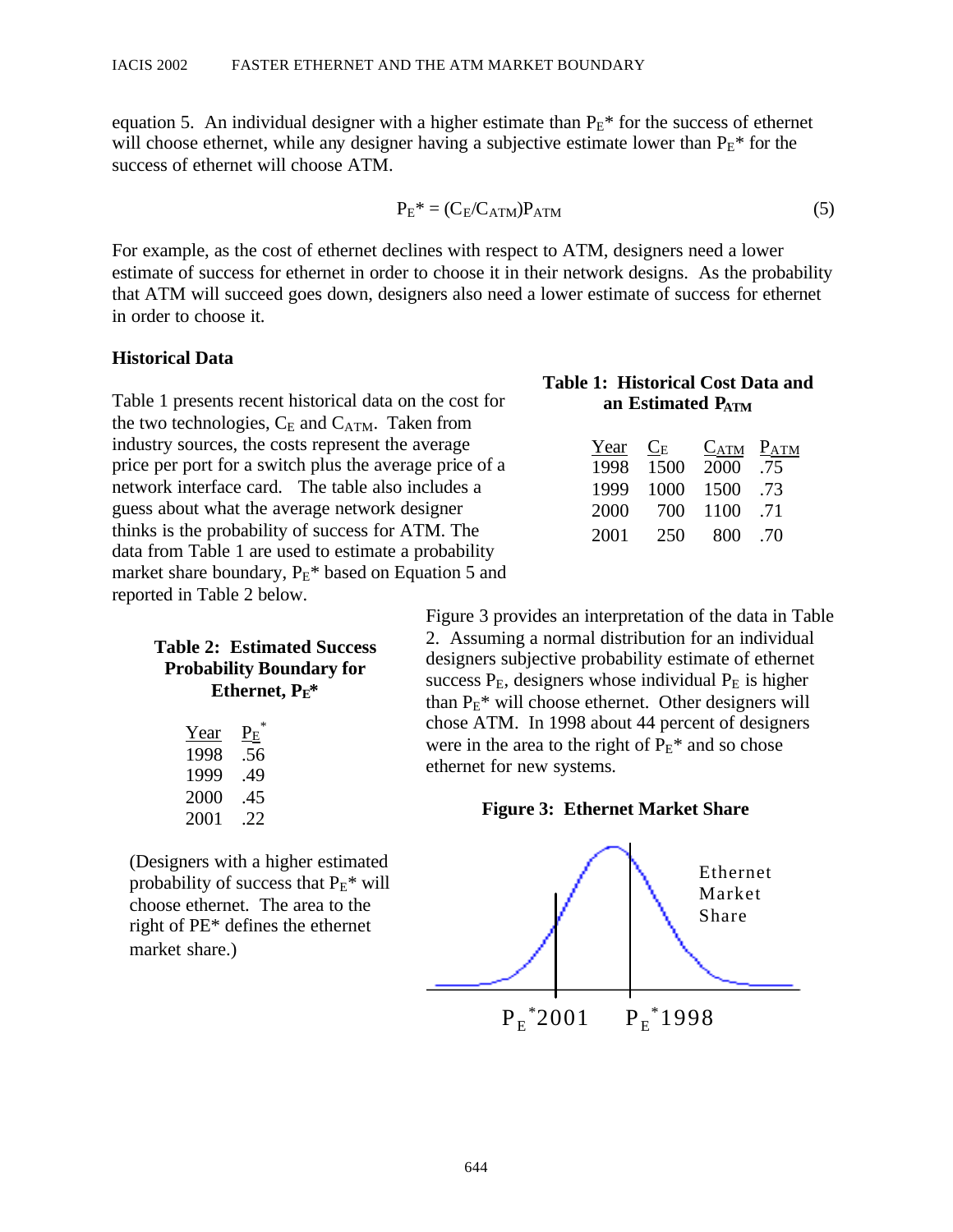equation 5. An individual designer with a higher estimate than  $P_E^*$  for the success of ethernet will choose ethernet, while any designer having a subjective estimate lower than  $P_E^*$  for the success of ethernet will choose ATM.

$$
P_E^* = (C_E/C_{ATM})P_{ATM}
$$
 (5)

For example, as the cost of ethernet declines with respect to ATM, designers need a lower estimate of success for ethernet in order to choose it in their network designs. As the probability that ATM will succeed goes down, designers also need a lower estimate of success for ethernet in order to choose it.

#### **Historical Data**

Table 1 presents recent historical data on the cost for the two technologies,  $C_E$  and  $C_{ATM}$ . Taken from industry sources, the costs represent the average price per port for a switch plus the average price of a network interface card. The table also includes a guess about what the average network designer thinks is the probability of success for ATM. The data from Table 1 are used to estimate a probability market share boundary,  $P_E^*$  based on Equation 5 and reported in Table 2 below.

| Year | $P_{\rm E}$ |
|------|-------------|
| 1998 | .56         |
| 1999 | -49         |
| 2000 | .45         |
| 2001 | .22         |

(Designers with a higher estimated probability of success that  $P_{E}$ <sup>\*</sup> will choose ethernet. The area to the right of PE\* defines the ethernet market share.)

#### **T able 1: Historical Cost D ata and an Estimated PATM**

| Year | $C_{\rm E}$ | $C_{ATM}$ | $P_{ATM}$ |
|------|-------------|-----------|-----------|
| 1998 | 1500        | 2000      | .75       |
| 1999 | 1000        | 1500      | .73       |
| 2000 | 700         | 1100      | .71       |
| 2001 | 250         | 800       | .70       |

Figure 3 provides an interpretation of the data in Table **Table 2: Estimated Success** 2. Assuming a normal distribution for an individual<br>**Probability Boundary for** designers subjective probability estimate of ethernet<br>**Ethernet,**  $P_E^*$  than  $P_E^*$  will choose ethernet. Other chose ATM. In 1998 about 44 percent of designers were in the area to the right of  $P_E^*$  and so chose ethernet for new systems.